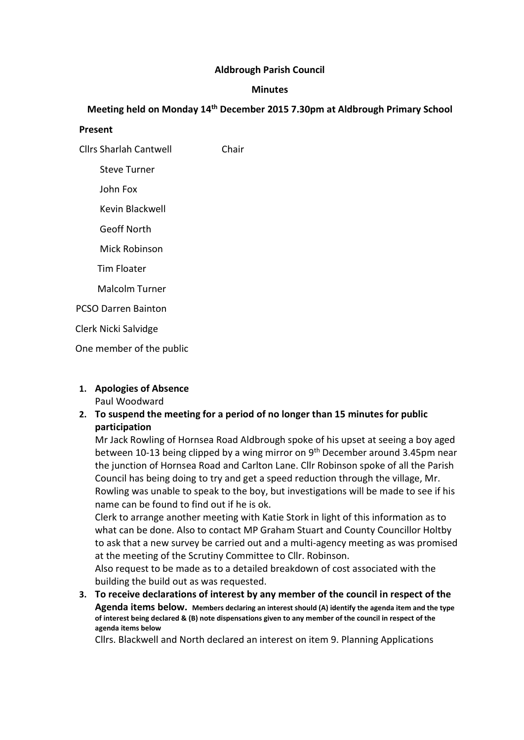## Aldbrough Parish Council

## Minutes

# Meeting held on Monday 14th December 2015 7.30pm at Aldbrough Primary School

#### Present

Cllrs Sharlah Cantwell Chair

Steve Turner

John Fox

Kevin Blackwell

Geoff North

Mick Robinson

Tim Floater

Malcolm Turner

PCSO Darren Bainton

Clerk Nicki Salvidge

One member of the public

#### 1. Apologies of Absence Paul Woodward

## 2. To suspend the meeting for a period of no longer than 15 minutes for public participation

Mr Jack Rowling of Hornsea Road Aldbrough spoke of his upset at seeing a boy aged between 10-13 being clipped by a wing mirror on 9<sup>th</sup> December around 3.45pm near the junction of Hornsea Road and Carlton Lane. Cllr Robinson spoke of all the Parish Council has being doing to try and get a speed reduction through the village, Mr. Rowling was unable to speak to the boy, but investigations will be made to see if his name can be found to find out if he is ok.

Clerk to arrange another meeting with Katie Stork in light of this information as to what can be done. Also to contact MP Graham Stuart and County Councillor Holtby to ask that a new survey be carried out and a multi-agency meeting as was promised at the meeting of the Scrutiny Committee to Cllr. Robinson.

Also request to be made as to a detailed breakdown of cost associated with the building the build out as was requested.

3. To receive declarations of interest by any member of the council in respect of the Agenda items below. Members declaring an interest should (A) identify the agenda item and the type of interest being declared & (B) note dispensations given to any member of the council in respect of the agenda items below

Cllrs. Blackwell and North declared an interest on item 9. Planning Applications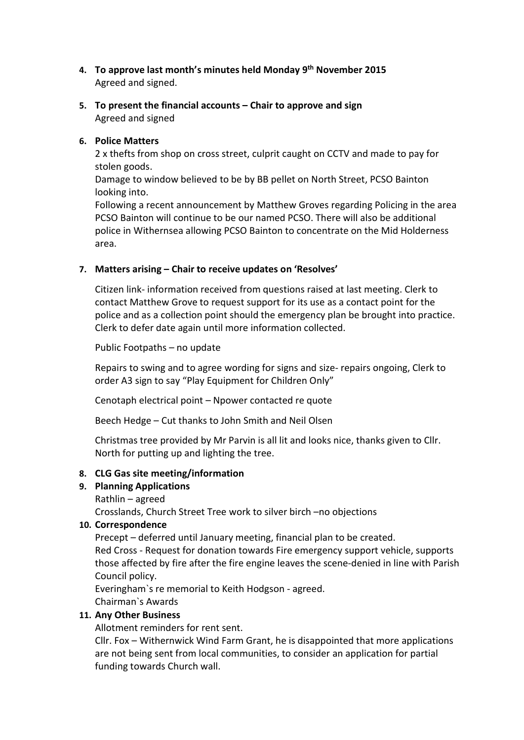- 4. To approve last month's minutes held Monday 9th November 2015 Agreed and signed.
- 5. To present the financial accounts Chair to approve and sign Agreed and signed

## 6. Police Matters

2 x thefts from shop on cross street, culprit caught on CCTV and made to pay for stolen goods.

Damage to window believed to be by BB pellet on North Street, PCSO Bainton looking into.

Following a recent announcement by Matthew Groves regarding Policing in the area PCSO Bainton will continue to be our named PCSO. There will also be additional police in Withernsea allowing PCSO Bainton to concentrate on the Mid Holderness area.

## 7. Matters arising – Chair to receive updates on 'Resolves'

Citizen link- information received from questions raised at last meeting. Clerk to contact Matthew Grove to request support for its use as a contact point for the police and as a collection point should the emergency plan be brought into practice. Clerk to defer date again until more information collected.

Public Footpaths – no update

Repairs to swing and to agree wording for signs and size- repairs ongoing, Clerk to order A3 sign to say "Play Equipment for Children Only"

Cenotaph electrical point – Npower contacted re quote

Beech Hedge – Cut thanks to John Smith and Neil Olsen

Christmas tree provided by Mr Parvin is all lit and looks nice, thanks given to Cllr. North for putting up and lighting the tree.

## 8. CLG Gas site meeting/information

## 9. Planning Applications

Rathlin – agreed

Crosslands, Church Street Tree work to silver birch –no objections

## 10. Correspondence

Precept – deferred until January meeting, financial plan to be created. Red Cross - Request for donation towards Fire emergency support vehicle, supports those affected by fire after the fire engine leaves the scene-denied in line with Parish

Council policy.

Everingham`s re memorial to Keith Hodgson - agreed.

Chairman`s Awards

## 11. Any Other Business

Allotment reminders for rent sent.

Cllr. Fox – Withernwick Wind Farm Grant, he is disappointed that more applications are not being sent from local communities, to consider an application for partial funding towards Church wall.